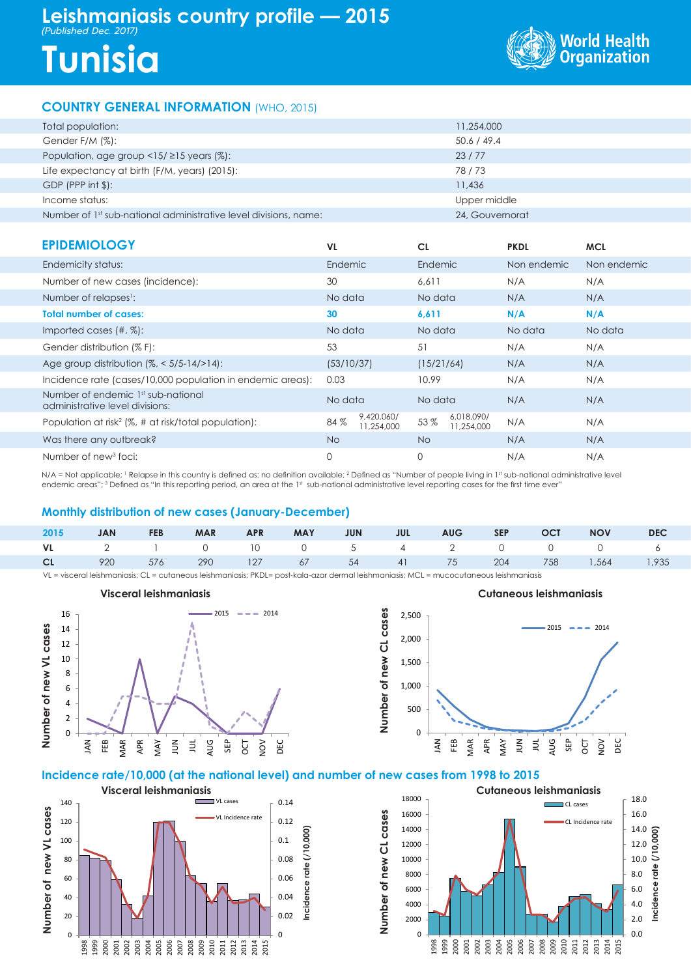# **Leishmaniasis country profile — 2015**

*(Published Dec. 2017)*

# **Tunisia**



### **COUNTRY GENERAL INFORMATION** (WHO, 2015)

| Total population:                                                            | 11,254,000      |
|------------------------------------------------------------------------------|-----------------|
| Gender F/M (%):                                                              | 50.6 / 49.4     |
| Population, age group $\langle 15/215 \rangle$ years (%):                    | 23/77           |
| Life expectancy at birth (F/M, years) (2015):                                | 78/73           |
| $GDP$ (PPP int $\frac{1}{2}$ ):                                              | 11,436          |
| Income status:                                                               | Upper middle    |
| Number of 1 <sup>st</sup> sub-national administrative level divisions, name: | 24. Gouvernorat |

| <b>EPIDEMIOLOGY</b>                                                   | VL.                |                          | <b>CL</b>  |                          | <b>PKDL</b> | <b>MCL</b>  |
|-----------------------------------------------------------------------|--------------------|--------------------------|------------|--------------------------|-------------|-------------|
| Endemicity status:                                                    | Endemic            |                          | Endemic    |                          | Non endemic | Non endemic |
| Number of new cases (incidence):                                      | 30                 | 6.611                    |            | N/A                      |             | N/A         |
| Number of relapses <sup>1</sup> :                                     | No data<br>No data |                          | N/A        | N/A                      |             |             |
| <b>Total number of cases:</b>                                         | 30                 | 6,611                    |            | N/A                      | N/A         |             |
| Imported cases $(\#, \%)$ :                                           | No data            |                          | No data    |                          | No data     | No data     |
| Gender distribution (% F):                                            | 53                 |                          | 51         |                          | N/A         | N/A         |
| Age group distribution $\frac{1}{6}$ < 5/5-14/>14):                   | (53/10/37)         |                          | (15/21/64) |                          | N/A         | N/A         |
| Incidence rate (cases/10,000 population in endemic areas):            | 0.03               |                          | 10.99      |                          | N/A         | N/A         |
| Number of endemic 1st sub-national<br>administrative level divisions: | No data            |                          | No data    |                          | N/A         | N/A         |
| Population at risk <sup>2</sup> (%, # at risk/total population):      | 84%                | 9,420,060/<br>11,254,000 | 53%        | 6,018,090/<br>11,254,000 | N/A         | N/A         |
| Was there any outbreak?                                               | No.                |                          | <b>No</b>  |                          | N/A         | N/A         |
| Number of new <sup>3</sup> foci:                                      | $\mathbf 0$        |                          | 0          |                          | N/A         | N/A         |

N/A = Not applicable; 1 Relapse in this country is defined as: no definition available; 2 Defined as "Number of people living in 1st sub-national administrative level endemic areas"; 3 Defined as "In this reporting period, an area at the 1st sub-national administrative level reporting cases for the first time ever"

#### **Monthly distribution of new cases (January-December)**

|  |  |  |  |  | 2015 JAN FEB MAR APR MAY JUN JUL AUG SEP OCT NOV DEC      |  |
|--|--|--|--|--|-----------------------------------------------------------|--|
|  |  |  |  |  | VL 2 1 0 10 0 5 4 2 0 0 0 6                               |  |
|  |  |  |  |  | <b>CL</b> 920 576 290 127 67 54 41 75 204 758 1,564 1,935 |  |
|  |  |  |  |  |                                                           |  |

**Number of new CL cases**

Number of new CL cases

0 500

**Denu)といこうこい** 

JAN FEB MAR APR MAY  $\sum_{n=1}^{\infty}$  $\overline{a}$ AUG SEP OCT NOV DEC

VL = visceral leishmaniasis; CL = cutaneous leishmaniasis; PKDL= post-kala-azar dermal leishmaniasis; MCL = mucocutaneous leishmaniasis



## 1,000 1,500 2,000 2,500  $2015 - 2014$

#### **Incidence rate/10,000 (at the national level) and number of new cases from 1998 to 2015**